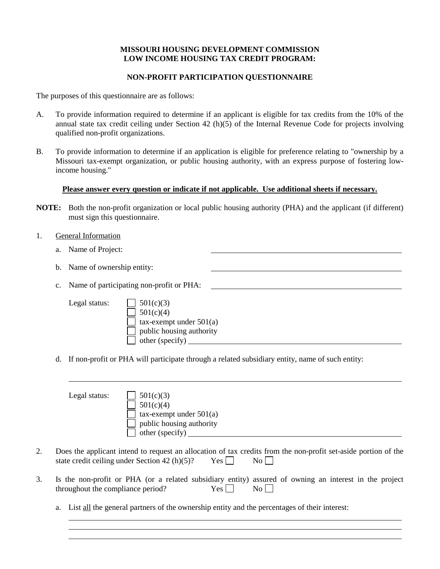# **MISSOURI HOUSING DEVELOPMENT COMMISSION LOW INCOME HOUSING TAX CREDIT PROGRAM:**

## **NON-PROFIT PARTICIPATION QUESTIONNAIRE**

The purposes of this questionnaire are as follows:

- A. To provide information required to determine if an applicant is eligible for tax credits from the 10% of the annual state tax credit ceiling under Section 42 (h)(5) of the Internal Revenue Code for projects involving qualified non-profit organizations.
- B. To provide information to determine if an application is eligible for preference relating to "ownership by a Missouri tax-exempt organization, or public housing authority, with an express purpose of fostering lowincome housing."

## **Please answer every question or indicate if not applicable. Use additional sheets if necessary.**

- **NOTE:** Both the non-profit organization or local public housing authority (PHA) and the applicant (if different) must sign this questionnaire.
- 1. General Information
	- a. Name of Project:
	- b. Name of ownership entity:
	- c. Name of participating non-profit or PHA:
		-
		- Legal status:  $\Box$  501(c)(3)  $501(c)(4)$  $\Box$  tax-exempt under 501(a) public housing authority other (specify)
	- d. If non-profit or PHA will participate through a related subsidiary entity, name of such entity:

| Legal status: | 501(c)(3)                    |
|---------------|------------------------------|
|               | 501(c)(4)                    |
|               | $tax$ -exempt under $501(a)$ |
|               | public housing authority     |
|               | other (specify)              |
|               |                              |

- 2. Does the applicant intend to request an allocation of tax credits from the non-profit set-aside portion of the state credit ceiling under Section 42 (h)(5)? Yes  $\Box$  No  $\Box$
- 3. Is the non-profit or PHA (or a related subsidiary entity) assured of owning an interest in the project throughout the compliance period?  $Yes \Box$  No  $\Box$ 
	- a. List all the general partners of the ownership entity and the percentages of their interest: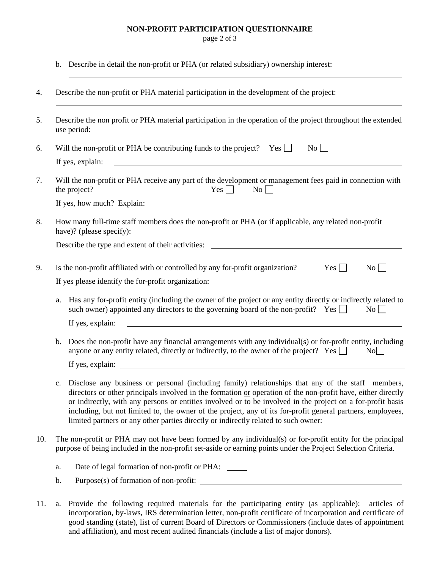#### **NON-PROFIT PARTICIPATION QUESTIONNAIRE**

page 2 of 3

b. Describe in detail the non-profit or PHA (or related subsidiary) ownership interest:

| 4.  | Describe the non-profit or PHA material participation in the development of the project:                                                                                                                                                                                                                                                                                                                                                                                                                                                     |  |
|-----|----------------------------------------------------------------------------------------------------------------------------------------------------------------------------------------------------------------------------------------------------------------------------------------------------------------------------------------------------------------------------------------------------------------------------------------------------------------------------------------------------------------------------------------------|--|
| 5.  | Describe the non profit or PHA material participation in the operation of the project throughout the extended                                                                                                                                                                                                                                                                                                                                                                                                                                |  |
| 6.  | Will the non-profit or PHA be contributing funds to the project? Yes $\Box$<br>$\overline{N_0}$                                                                                                                                                                                                                                                                                                                                                                                                                                              |  |
|     | If yes, explain:<br><u> 1980 - Johann Barn, fransk politik fotograf (d. 1980)</u>                                                                                                                                                                                                                                                                                                                                                                                                                                                            |  |
| 7.  | Will the non-profit or PHA receive any part of the development or management fees paid in connection with<br>$Yes \Box$<br>$\overline{N_0}$<br>the project?                                                                                                                                                                                                                                                                                                                                                                                  |  |
|     |                                                                                                                                                                                                                                                                                                                                                                                                                                                                                                                                              |  |
| 8.  | How many full-time staff members does the non-profit or PHA (or if applicable, any related non-profit<br>have)? (please specify):<br><u> 1989 - Jan Samuel Barbara, martin da shekara 1980 - An tsara 1980 - An tsara 1980 - An tsara 1980 - An tsara</u>                                                                                                                                                                                                                                                                                    |  |
|     | Describe the type and extent of their activities: _______________________________                                                                                                                                                                                                                                                                                                                                                                                                                                                            |  |
| 9.  | $Yes \mid \cdot$<br>$\overline{N_0}$<br>Is the non-profit affiliated with or controlled by any for-profit organization?                                                                                                                                                                                                                                                                                                                                                                                                                      |  |
|     |                                                                                                                                                                                                                                                                                                                                                                                                                                                                                                                                              |  |
|     | Has any for-profit entity (including the owner of the project or any entity directly or indirectly related to<br>a.<br>such owner) appointed any directors to the governing board of the non-profit? Yes $\Box$<br>$\overline{N_0}$                                                                                                                                                                                                                                                                                                          |  |
|     | If yes, explain:<br><u>and the contract of the contract of the contract of the contract of the contract of the contract of the contract of</u>                                                                                                                                                                                                                                                                                                                                                                                               |  |
|     | Does the non-profit have any financial arrangements with any individual(s) or for-profit entity, including<br>b.<br>anyone or any entity related, directly or indirectly, to the owner of the project? Yes $\Box$<br>No                                                                                                                                                                                                                                                                                                                      |  |
|     |                                                                                                                                                                                                                                                                                                                                                                                                                                                                                                                                              |  |
|     | Disclose any business or personal (including family) relationships that any of the staff members,<br>c.<br>directors or other principals involved in the formation or operation of the non-profit have, either directly<br>or indirectly, with any persons or entities involved or to be involved in the project on a for-profit basis<br>including, but not limited to, the owner of the project, any of its for-profit general partners, employees,<br>limited partners or any other parties directly or indirectly related to such owner: |  |
| 10. | The non-profit or PHA may not have been formed by any individual(s) or for-profit entity for the principal<br>purpose of being included in the non-profit set-aside or earning points under the Project Selection Criteria.                                                                                                                                                                                                                                                                                                                  |  |
|     | Date of legal formation of non-profit or PHA:<br>a.                                                                                                                                                                                                                                                                                                                                                                                                                                                                                          |  |
|     | b.                                                                                                                                                                                                                                                                                                                                                                                                                                                                                                                                           |  |
|     |                                                                                                                                                                                                                                                                                                                                                                                                                                                                                                                                              |  |

11. a. Provide the following required materials for the participating entity (as applicable): articles of incorporation, by-laws, IRS determination letter, non-profit certificate of incorporation and certificate of good standing (state), list of current Board of Directors or Commissioners (include dates of appointment and affiliation), and most recent audited financials (include a list of major donors).